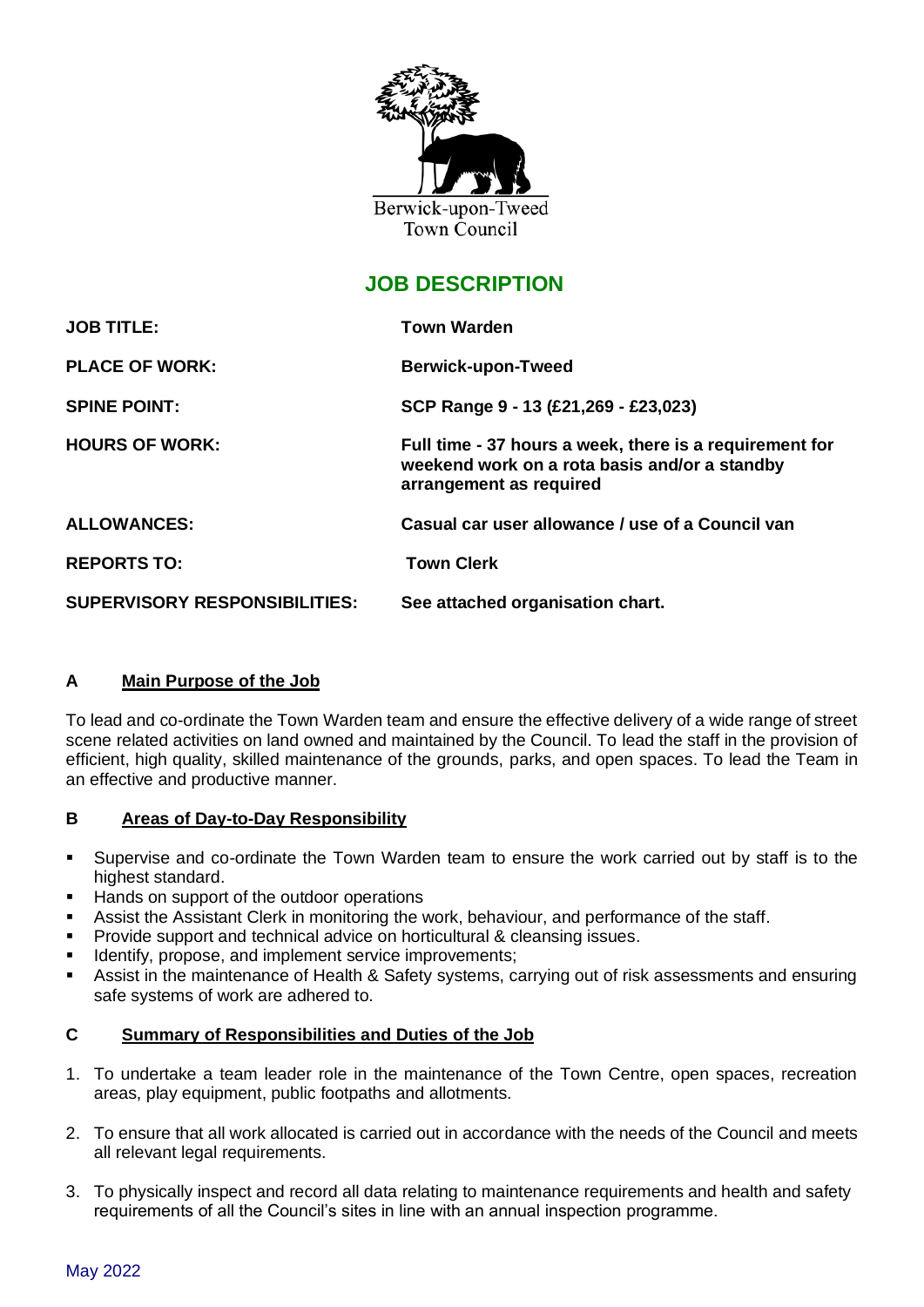

# **JOB DESCRIPTION**

| <b>JOB TITLE:</b>                    | <b>Town Warden</b>                                                                                                                  |  |
|--------------------------------------|-------------------------------------------------------------------------------------------------------------------------------------|--|
| <b>PLACE OF WORK:</b>                | <b>Berwick-upon-Tweed</b>                                                                                                           |  |
| <b>SPINE POINT:</b>                  | SCP Range 9 - 13 (£21,269 - £23,023)                                                                                                |  |
| <b>HOURS OF WORK:</b>                | Full time - 37 hours a week, there is a requirement for<br>weekend work on a rota basis and/or a standby<br>arrangement as required |  |
| <b>ALLOWANCES:</b>                   | Casual car user allowance / use of a Council van                                                                                    |  |
| <b>REPORTS TO:</b>                   | <b>Town Clerk</b>                                                                                                                   |  |
| <b>SUPERVISORY RESPONSIBILITIES:</b> | See attached organisation chart.                                                                                                    |  |

# **A Main Purpose of the Job**

To lead and co-ordinate the Town Warden team and ensure the effective delivery of a wide range of street scene related activities on land owned and maintained by the Council. To lead the staff in the provision of efficient, high quality, skilled maintenance of the grounds, parks, and open spaces. To lead the Team in an effective and productive manner.

# **B Areas of Day-to-Day Responsibility**

- Supervise and co-ordinate the Town Warden team to ensure the work carried out by staff is to the highest standard.
- Hands on support of the outdoor operations
- Assist the Assistant Clerk in monitoring the work, behaviour, and performance of the staff.
- Provide support and technical advice on horticultural & cleansing issues.
- **■** Identify, propose, and implement service improvements;
- Assist in the maintenance of Health & Safety systems, carrying out of risk assessments and ensuring safe systems of work are adhered to.

#### **C Summary of Responsibilities and Duties of the Job**

- 1. To undertake a team leader role in the maintenance of the Town Centre, open spaces, recreation areas, play equipment, public footpaths and allotments.
- 2. To ensure that all work allocated is carried out in accordance with the needs of the Council and meets all relevant legal requirements.
- 3. To physically inspect and record all data relating to maintenance requirements and health and safety requirements of all the Council's sites in line with an annual inspection programme.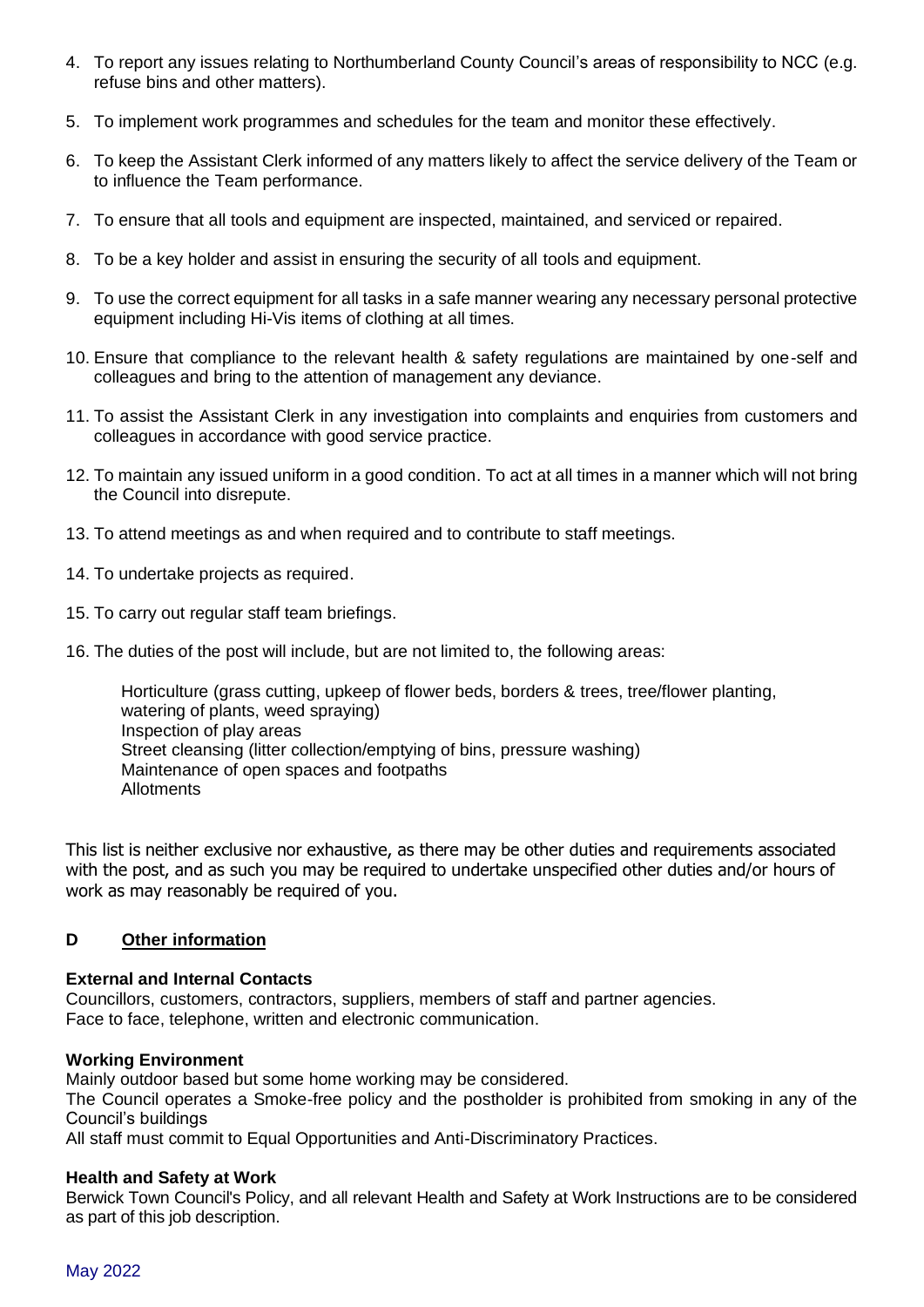- 4. To report any issues relating to Northumberland County Council's areas of responsibility to NCC (e.g. refuse bins and other matters).
- 5. To implement work programmes and schedules for the team and monitor these effectively.
- 6. To keep the Assistant Clerk informed of any matters likely to affect the service delivery of the Team or to influence the Team performance.
- 7. To ensure that all tools and equipment are inspected, maintained, and serviced or repaired.
- 8. To be a key holder and assist in ensuring the security of all tools and equipment.
- 9. To use the correct equipment for all tasks in a safe manner wearing any necessary personal protective equipment including Hi-Vis items of clothing at all times.
- 10. Ensure that compliance to the relevant health & safety regulations are maintained by one-self and colleagues and bring to the attention of management any deviance.
- 11. To assist the Assistant Clerk in any investigation into complaints and enquiries from customers and colleagues in accordance with good service practice.
- 12. To maintain any issued uniform in a good condition. To act at all times in a manner which will not bring the Council into disrepute.
- 13. To attend meetings as and when required and to contribute to staff meetings.
- 14. To undertake projects as required.
- 15. To carry out regular staff team briefings.
- 16. The duties of the post will include, but are not limited to, the following areas:

Horticulture (grass cutting, upkeep of flower beds, borders & trees, tree/flower planting, watering of plants, weed spraying) Inspection of play areas Street cleansing (litter collection/emptying of bins, pressure washing) Maintenance of open spaces and footpaths Allotments

This list is neither exclusive nor exhaustive, as there may be other duties and requirements associated with the post, and as such you may be required to undertake unspecified other duties and/or hours of work as may reasonably be required of you.

#### **D Other information**

#### **External and Internal Contacts**

Councillors, customers, contractors, suppliers, members of staff and partner agencies. Face to face, telephone, written and electronic communication.

#### **Working Environment**

Mainly outdoor based but some home working may be considered.

The Council operates a Smoke-free policy and the postholder is prohibited from smoking in any of the Council's buildings

All staff must commit to Equal Opportunities and Anti-Discriminatory Practices.

#### **Health and Safety at Work**

Berwick Town Council's Policy, and all relevant Health and Safety at Work Instructions are to be considered as part of this job description.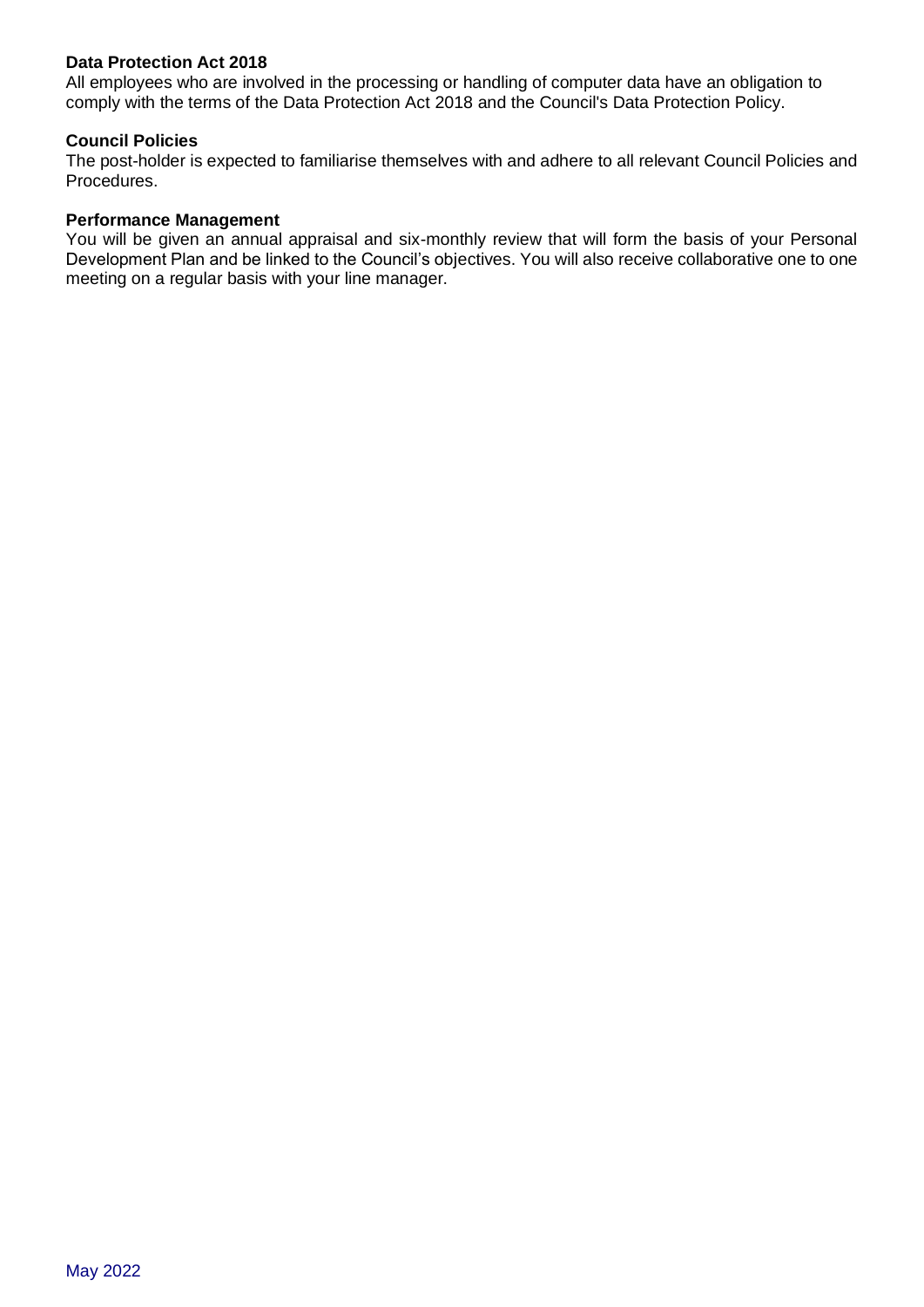#### **Data Protection Act 2018**

All employees who are involved in the processing or handling of computer data have an obligation to comply with the terms of the Data Protection Act 2018 and the Council's Data Protection Policy.

#### **Council Policies**

The post-holder is expected to familiarise themselves with and adhere to all relevant Council Policies and Procedures.

#### **Performance Management**

You will be given an annual appraisal and six-monthly review that will form the basis of your Personal Development Plan and be linked to the Council's objectives. You will also receive collaborative one to one meeting on a regular basis with your line manager.